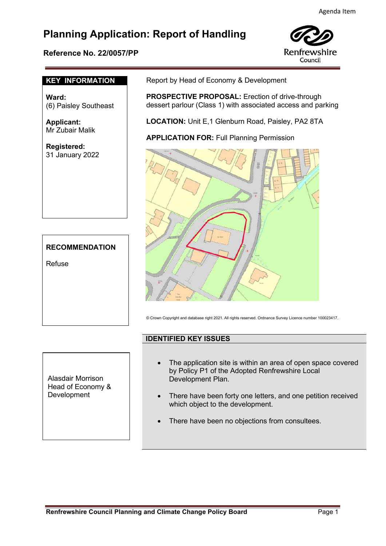# **Planning Application: Report of Handling**

## **Reference No. 22/0057/PP**



### **KEY INFORMATION**

**Ward:**  (6) Paisley Southeast

**Applicant:** Mr Zubair Malik

**Registered:**  31 January 2022

# **RECOMMENDATION**

Refuse

Report by Head of Economy & Development

**PROSPECTIVE PROPOSAL:** Erection of drive-through dessert parlour (Class 1) with associated access and parking

**LOCATION:** Unit E,1 Glenburn Road, Paisley, PA2 8TA

**APPLICATION FOR: Full Planning Permission** 



© Crown Copyright and database right 2021. All rights reserved. Ordnance Survey Licence number 100023417.

## **IDENTIFIED KEY ISSUES**

Alasdair Morrison Head of Economy & Development

- The application site is within an area of open space covered by Policy P1 of the Adopted Renfrewshire Local Development Plan.
- There have been forty one letters, and one petition received which object to the development.
- There have been no objections from consultees.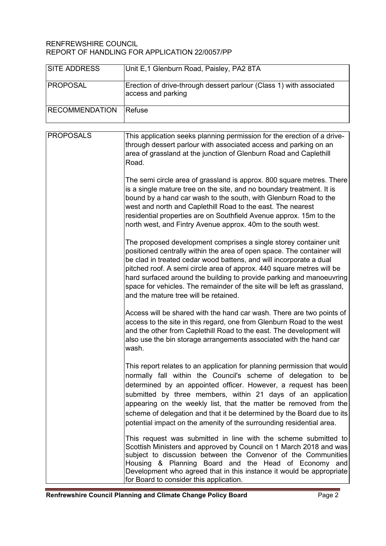## RENFREWSHIRE COUNCIL REPORT OF HANDLING FOR APPLICATION 22/0057/PP

| <b>SITE ADDRESS</b>   | Unit E,1 Glenburn Road, Paisley, PA2 8TA                                                                                                                                                                                                                                                                                                                                                                                                                                                            |
|-----------------------|-----------------------------------------------------------------------------------------------------------------------------------------------------------------------------------------------------------------------------------------------------------------------------------------------------------------------------------------------------------------------------------------------------------------------------------------------------------------------------------------------------|
| <b>PROPOSAL</b>       | Erection of drive-through dessert parlour (Class 1) with associated<br>access and parking                                                                                                                                                                                                                                                                                                                                                                                                           |
| <b>RECOMMENDATION</b> | <b>Refuse</b>                                                                                                                                                                                                                                                                                                                                                                                                                                                                                       |
| <b>PROPOSALS</b>      | This application seeks planning permission for the erection of a drive-<br>through dessert parlour with associated access and parking on an<br>area of grassland at the junction of Glenburn Road and Caplethill<br>Road.                                                                                                                                                                                                                                                                           |
|                       | The semi circle area of grassland is approx. 800 square metres. There<br>is a single mature tree on the site, and no boundary treatment. It is<br>bound by a hand car wash to the south, with Glenburn Road to the<br>west and north and Caplethill Road to the east. The nearest<br>residential properties are on Southfield Avenue approx. 15m to the<br>north west, and Fintry Avenue approx. 40m to the south west.                                                                             |
|                       | The proposed development comprises a single storey container unit<br>positioned centrally within the area of open space. The container will<br>be clad in treated cedar wood battens, and will incorporate a dual<br>pitched roof. A semi circle area of approx. 440 square metres will be<br>hard surfaced around the building to provide parking and manoeuvring<br>space for vehicles. The remainder of the site will be left as grassland,<br>and the mature tree will be retained.             |
|                       | Access will be shared with the hand car wash. There are two points of<br>access to the site in this regard, one from Glenburn Road to the west<br>and the other from Caplethill Road to the east. The development will<br>also use the bin storage arrangements associated with the hand car<br>wash.                                                                                                                                                                                               |
|                       | This report relates to an application for planning permission that would<br>normally fall within the Council's scheme of delegation to be<br>determined by an appointed officer. However, a request has been<br>submitted by three members, within 21 days of an application<br>appearing on the weekly list, that the matter be removed from the<br>scheme of delegation and that it be determined by the Board due to its<br>potential impact on the amenity of the surrounding residential area. |
|                       | This request was submitted in line with the scheme submitted to<br>Scottish Ministers and approved by Council on 1 March 2018 and was<br>subject to discussion between the Convenor of the Communities<br>Housing & Planning Board and the Head of Economy and<br>Development who agreed that in this instance it would be appropriate<br>for Board to consider this application.                                                                                                                   |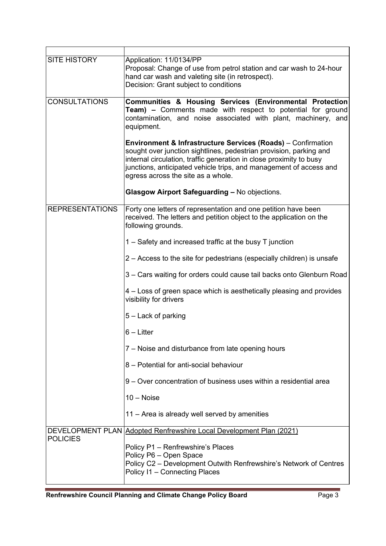| <b>SITE HISTORY</b>    | Application: 11/0134/PP<br>Proposal: Change of use from petrol station and car wash to 24-hour<br>hand car wash and valeting site (in retrospect).<br>Decision: Grant subject to conditions                                                                                                                                      |
|------------------------|----------------------------------------------------------------------------------------------------------------------------------------------------------------------------------------------------------------------------------------------------------------------------------------------------------------------------------|
| <b>CONSULTATIONS</b>   | Communities & Housing Services (Environmental Protection<br>Team) - Comments made with respect to potential for ground<br>contamination, and noise associated with plant, machinery, and<br>equipment.                                                                                                                           |
|                        | <b>Environment &amp; Infrastructure Services (Roads)</b> – Confirmation<br>sought over junction sightlines, pedestrian provision, parking and<br>internal circulation, traffic generation in close proximity to busy<br>junctions, anticipated vehicle trips, and management of access and<br>egress across the site as a whole. |
|                        | <b>Glasgow Airport Safeguarding - No objections.</b>                                                                                                                                                                                                                                                                             |
| <b>REPRESENTATIONS</b> | Forty one letters of representation and one petition have been<br>received. The letters and petition object to the application on the<br>following grounds.                                                                                                                                                                      |
|                        | 1 – Safety and increased traffic at the busy $T$ junction                                                                                                                                                                                                                                                                        |
|                        | 2 – Access to the site for pedestrians (especially children) is unsafe                                                                                                                                                                                                                                                           |
|                        | 3 – Cars waiting for orders could cause tail backs onto Glenburn Road                                                                                                                                                                                                                                                            |
|                        | 4 – Loss of green space which is aesthetically pleasing and provides<br>visibility for drivers                                                                                                                                                                                                                                   |
|                        | 5 – Lack of parking                                                                                                                                                                                                                                                                                                              |
|                        | $6$ – Litter                                                                                                                                                                                                                                                                                                                     |
|                        | 7 – Noise and disturbance from late opening hours                                                                                                                                                                                                                                                                                |
|                        | 8 - Potential for anti-social behaviour                                                                                                                                                                                                                                                                                          |
|                        | 9 – Over concentration of business uses within a residential area                                                                                                                                                                                                                                                                |
|                        | $10 - Noise$                                                                                                                                                                                                                                                                                                                     |
|                        | 11 - Area is already well served by amenities                                                                                                                                                                                                                                                                                    |
|                        | DEVELOPMENT PLAN Adopted Renfrewshire Local Development Plan (2021)                                                                                                                                                                                                                                                              |
| <b>POLICIES</b>        | Policy P1 - Renfrewshire's Places<br>Policy P6 - Open Space<br>Policy C2 - Development Outwith Renfrewshire's Network of Centres<br>Policy I1 - Connecting Places                                                                                                                                                                |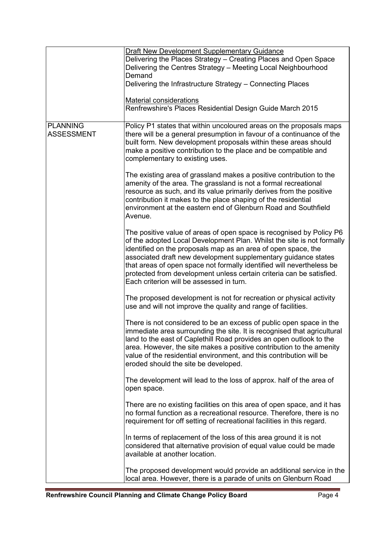|                                      | <b>Draft New Development Supplementary Guidance</b>                                                                                                                                                                                                                                                                                                                                                                                                                            |
|--------------------------------------|--------------------------------------------------------------------------------------------------------------------------------------------------------------------------------------------------------------------------------------------------------------------------------------------------------------------------------------------------------------------------------------------------------------------------------------------------------------------------------|
|                                      | Delivering the Places Strategy - Creating Places and Open Space<br>Delivering the Centres Strategy - Meeting Local Neighbourhood<br>Demand                                                                                                                                                                                                                                                                                                                                     |
|                                      | Delivering the Infrastructure Strategy - Connecting Places                                                                                                                                                                                                                                                                                                                                                                                                                     |
|                                      | <b>Material considerations</b><br>Renfrewshire's Places Residential Design Guide March 2015                                                                                                                                                                                                                                                                                                                                                                                    |
| <b>PLANNING</b><br><b>ASSESSMENT</b> | Policy P1 states that within uncoloured areas on the proposals maps<br>there will be a general presumption in favour of a continuance of the<br>built form. New development proposals within these areas should<br>make a positive contribution to the place and be compatible and<br>complementary to existing uses.                                                                                                                                                          |
|                                      | The existing area of grassland makes a positive contribution to the<br>amenity of the area. The grassland is not a formal recreational<br>resource as such, and its value primarily derives from the positive<br>contribution it makes to the place shaping of the residential<br>environment at the eastern end of Glenburn Road and Southfield<br>Avenue.                                                                                                                    |
|                                      | The positive value of areas of open space is recognised by Policy P6<br>of the adopted Local Development Plan. Whilst the site is not formally<br>identified on the proposals map as an area of open space, the<br>associated draft new development supplementary guidance states<br>that areas of open space not formally identified will nevertheless be<br>protected from development unless certain criteria can be satisfied.<br>Each criterion will be assessed in turn. |
|                                      | The proposed development is not for recreation or physical activity<br>use and will not improve the quality and range of facilities.                                                                                                                                                                                                                                                                                                                                           |
|                                      | There is not considered to be an excess of public open space in the<br>immediate area surrounding the site. It is recognised that agricultural<br>land to the east of Caplethill Road provides an open outlook to the<br>area. However, the site makes a positive contribution to the amenity<br>value of the residential environment, and this contribution will be<br>eroded should the site be developed.                                                                   |
|                                      | The development will lead to the loss of approx. half of the area of<br>open space.                                                                                                                                                                                                                                                                                                                                                                                            |
|                                      | There are no existing facilities on this area of open space, and it has<br>no formal function as a recreational resource. Therefore, there is no<br>requirement for off setting of recreational facilities in this regard.                                                                                                                                                                                                                                                     |
|                                      | In terms of replacement of the loss of this area ground it is not<br>considered that alternative provision of equal value could be made<br>available at another location.                                                                                                                                                                                                                                                                                                      |
|                                      | The proposed development would provide an additional service in the<br>local area. However, there is a parade of units on Glenburn Road                                                                                                                                                                                                                                                                                                                                        |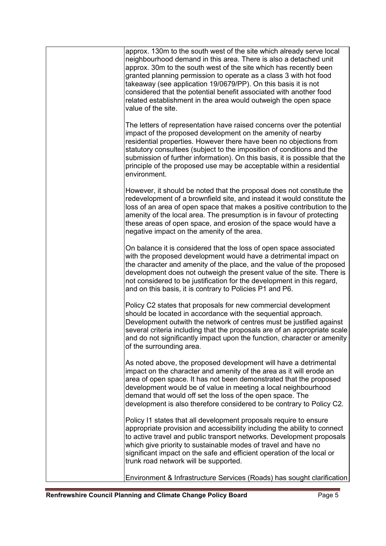| approx. 130m to the south west of the site which already serve local<br>neighbourhood demand in this area. There is also a detached unit<br>approx. 30m to the south west of the site which has recently been<br>granted planning permission to operate as a class 3 with hot food<br>takeaway (see application 19/0679/PP). On this basis it is not<br>considered that the potential benefit associated with another food<br>related establishment in the area would outweigh the open space<br>value of the site. |
|---------------------------------------------------------------------------------------------------------------------------------------------------------------------------------------------------------------------------------------------------------------------------------------------------------------------------------------------------------------------------------------------------------------------------------------------------------------------------------------------------------------------|
| The letters of representation have raised concerns over the potential<br>impact of the proposed development on the amenity of nearby<br>residential properties. However there have been no objections from<br>statutory consultees (subject to the imposition of conditions and the<br>submission of further information). On this basis, it is possible that the<br>principle of the proposed use may be acceptable within a residential<br>environment.                                                           |
| However, it should be noted that the proposal does not constitute the<br>redevelopment of a brownfield site, and instead it would constitute the<br>loss of an area of open space that makes a positive contribution to the<br>amenity of the local area. The presumption is in favour of protecting<br>these areas of open space, and erosion of the space would have a<br>negative impact on the amenity of the area.                                                                                             |
| On balance it is considered that the loss of open space associated<br>with the proposed development would have a detrimental impact on<br>the character and amenity of the place, and the value of the proposed<br>development does not outweigh the present value of the site. There is<br>not considered to be justification for the development in this regard,<br>and on this basis, it is contrary to Policies P1 and P6.                                                                                      |
| Policy C2 states that proposals for new commercial development<br>should be located in accordance with the sequential approach.<br>Development outwith the network of centres must be justified against<br>several criteria including that the proposals are of an appropriate scale<br>and do not significantly impact upon the function, character or amenity<br>of the surrounding area.                                                                                                                         |
| As noted above, the proposed development will have a detrimental<br>impact on the character and amenity of the area as it will erode an<br>area of open space. It has not been demonstrated that the proposed<br>development would be of value in meeting a local neighbourhood<br>demand that would off set the loss of the open space. The<br>development is also therefore considered to be contrary to Policy C2.                                                                                               |
| Policy I1 states that all development proposals require to ensure<br>appropriate provision and accessibility including the ability to connect<br>to active travel and public transport networks. Development proposals<br>which give priority to sustainable modes of travel and have no<br>significant impact on the safe and efficient operation of the local or<br>trunk road network will be supported.                                                                                                         |
| Environment & Infrastructure Services (Roads) has sought clarification                                                                                                                                                                                                                                                                                                                                                                                                                                              |